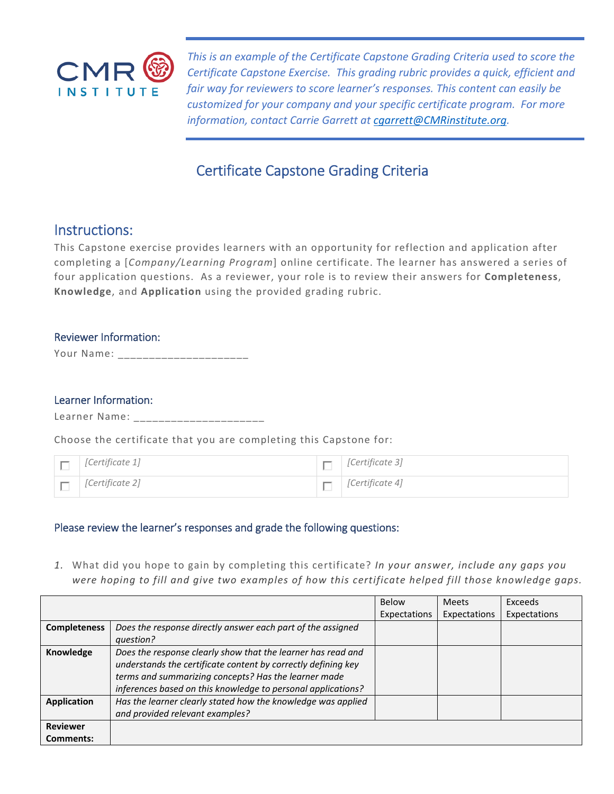

*This is an example of the Certificate Capstone Grading Criteria used to score the Certificate Capstone Exercise. This grading rubric provides a quick, efficient and fair way for reviewers to score learner's responses. This content can easily be customized for your company and your specific certificate program. For more information, contact Carrie Garrett at cgarrett@CMRinstitute.org.* 

# Certificate Capstone Grading Criteria

## Instructions:

This Capstone exercise provides learners with an opportunity for reflection and application after completing a [*Company/Learning Program*] online certificate. The learner has answered a series of four application questions. As a reviewer, your role is to review their answers for **Completeness**, **Knowledge**, and **Application** using the provided grading rubric.

### Reviewer Information:

Your Name: \_\_\_\_\_\_\_\_\_\_\_\_\_\_\_\_\_\_\_\_\_\_\_\_

#### Learner Information:

Learner Name: \_\_\_\_\_\_\_\_\_\_\_\_\_\_\_\_\_\_\_\_\_

Choose the certificate that you are completing this Capstone for:

| $\Box$ [Certificate 1] | $\Box$ [Certificate 3] |
|------------------------|------------------------|
| $\Box$ [Certificate 2] | $\Box$ [Certificate 4] |

### Please review the learner's responses and grade the following questions:

*1.* What did you hope to gain by completing this certificate? *In your answer, include any gaps you were hoping to fill and give two examples of how this certificate helped fill those knowledge gaps.* 

|                     |                                                               | <b>Below</b> | <b>Meets</b> | Exceeds      |
|---------------------|---------------------------------------------------------------|--------------|--------------|--------------|
|                     |                                                               | Expectations | Expectations | Expectations |
| <b>Completeness</b> | Does the response directly answer each part of the assigned   |              |              |              |
|                     | question?                                                     |              |              |              |
| Knowledge           | Does the response clearly show that the learner has read and  |              |              |              |
|                     | understands the certificate content by correctly defining key |              |              |              |
|                     | terms and summarizing concepts? Has the learner made          |              |              |              |
|                     | inferences based on this knowledge to personal applications?  |              |              |              |
| <b>Application</b>  | Has the learner clearly stated how the knowledge was applied  |              |              |              |
|                     | and provided relevant examples?                               |              |              |              |
| <b>Reviewer</b>     |                                                               |              |              |              |
| Comments:           |                                                               |              |              |              |